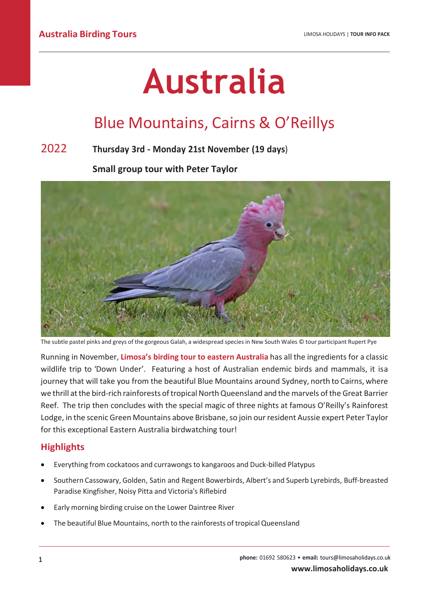# **Australia**

## Blue Mountains, Cairns & O'Reillys

## 2022 **Thursday 3rd - Monday 21st November (19 days**)

**Small group tour with Peter Taylor**



The subtle pastel pinks and greys of the gorgeous Galah, a widespread species in New South Wales © tour participant Rupert Pye

Running in November, **Limosa's birding tour to eastern Australia** has all the ingredients for a classic wildlife trip to 'Down Under'. Featuring a host of Australian endemic birds and mammals, it isa journey that will take you from the beautiful Blue Mountains around Sydney, north to Cairns, where we thrill at the bird-rich rainforests of tropical North Queensland and the marvels of the Great Barrier Reef. The trip then concludes with the special magic of three nights at famous O'Reilly's Rainforest Lodge, in the scenic Green Mountains above Brisbane, so join our resident Aussie expert Peter Taylor for this exceptional Eastern Australia birdwatching tour!

## **Highlights**

- Everything from cockatoos and currawongsto kangaroos and Duck-billed Platypus
- Southern Cassowary, Golden, Satin and Regent Bowerbirds, Albert's and Superb Lyrebirds, Buff-breasted Paradise Kingfisher, Noisy Pitta and Victoria's Riflebird
- Early morning birding cruise on the Lower Daintree River
- The beautiful Blue Mountains, north to the rainforests of tropical Queensland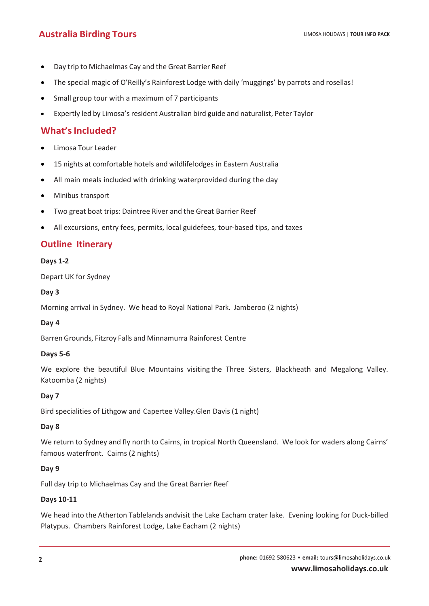- Day trip to Michaelmas Cay and the Great Barrier Reef
- The special magic of O'Reilly's Rainforest Lodge with daily 'muggings' by parrots and rosellas!
- Small group tour with a maximum of 7 participants
- Expertly led by Limosa's resident Australian bird guide and naturalist, Peter Taylor

## **What'sIncluded?**

- Limosa Tour Leader
- 15 nights at comfortable hotels and wildlifelodges in Eastern Australia
- All main meals included with drinking waterprovided during the day
- Minibus transport
- Two great boat trips: Daintree River and the Great Barrier Reef
- All excursions, entry fees, permits, local guidefees, tour-based tips, and taxes

## **Outline Itinerary**

#### **Days 1-2**

Depart UK for Sydney

#### **Day 3**

Morning arrival in Sydney. We head to Royal National Park. Jamberoo (2 nights)

## **Day 4**

Barren Grounds, Fitzroy Falls and Minnamurra Rainforest Centre

#### **Days 5-6**

We explore the beautiful Blue Mountains visiting the Three Sisters, Blackheath and Megalong Valley. Katoomba (2 nights)

## **Day 7**

Bird specialities of Lithgow and Capertee Valley.Glen Davis (1 night)

#### **Day 8**

We return to Sydney and fly north to Cairns, in tropical North Queensland. We look for waders along Cairns' famous waterfront. Cairns (2 nights)

## **Day 9**

Full day trip to Michaelmas Cay and the Great Barrier Reef

## **Days 10-11**

We head into the Atherton Tablelands andvisit the Lake Eacham crater lake. Evening looking for Duck-billed Platypus. Chambers Rainforest Lodge, Lake Eacham (2 nights)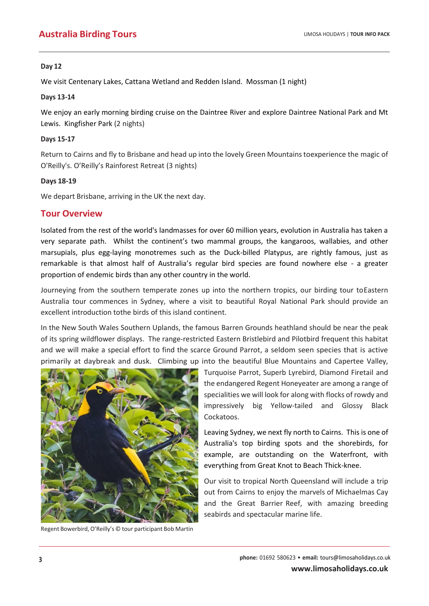#### **Day 12**

We visit Centenary Lakes, Cattana Wetland and Redden Island. Mossman (1 night)

#### **Days 13-14**

We enjoy an early morning birding cruise on the Daintree River and explore Daintree National Park and Mt Lewis. Kingfisher Park (2 nights)

#### **Days 15-17**

Return to Cairns and fly to Brisbane and head up into the lovely Green Mountains toexperience the magic of O'Reilly's. O'Reilly's Rainforest Retreat (3 nights)

#### **Days 18-19**

We depart Brisbane, arriving in the UK the next day.

## **Tour Overview**

Isolated from the rest of the world's landmasses for over 60 million years, evolution in Australia has taken a very separate path. Whilst the continent's two mammal groups, the kangaroos, wallabies, and other marsupials, plus egg-laying monotremes such as the Duck-billed Platypus, are rightly famous, just as remarkable is that almost half of Australia's regular bird species are found nowhere else - a greater proportion of endemic birds than any other country in the world.

Journeying from the southern temperate zones up into the northern tropics, our birding tour toEastern Australia tour commences in Sydney, where a visit to beautiful Royal National Park should provide an excellent introduction tothe birds of this island continent.

In the New South Wales Southern Uplands, the famous Barren Grounds heathland should be near the peak of its spring wildflower displays. The range-restricted Eastern Bristlebird and Pilotbird frequent this habitat and we will make a special effort to find the scarce Ground Parrot, a seldom seen species that is active primarily at daybreak and dusk. Climbing up into the beautiful Blue Mountains and Capertee Valley,



Regent Bowerbird, O'Reilly's © tour participant Bob Martin

Turquoise Parrot, Superb Lyrebird, Diamond Firetail and the endangered Regent Honeyeater are among a range of specialities we will look for along with flocks of rowdy and impressively big Yellow-tailed and Glossy Black Cockatoos.

Leaving Sydney, we next fly north to Cairns. This is one of Australia's top birding spots and the shorebirds, for example, are outstanding on the Waterfront, with everything from Great Knot to Beach Thick-knee.

Our visit to tropical North Queensland will include a trip out from Cairns to enjoy the marvels of Michaelmas Cay and the Great Barrier Reef, with amazing breeding seabirds and spectacular marine life.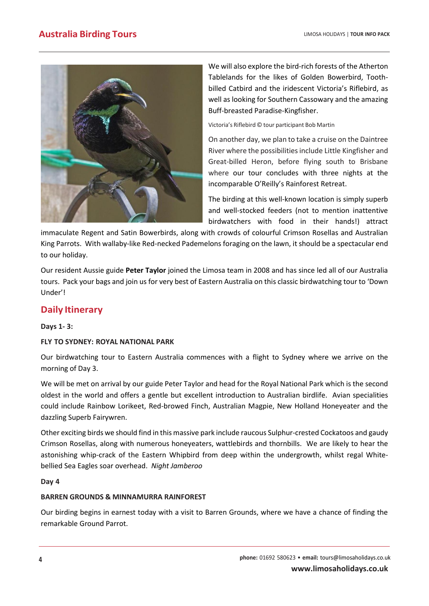

We will also explore the bird-rich forests of the Atherton Tablelands for the likes of Golden Bowerbird, Toothbilled Catbird and the iridescent Victoria's Riflebird, as well as looking for Southern Cassowary and the amazing Buff-breasted Paradise-Kingfisher.

Victoria's Riflebird © tour participant Bob Martin

On another day, we plan to take a cruise on the Daintree River where the possibilities include Little Kingfisher and Great-billed Heron, before flying south to Brisbane where our tour concludes with three nights at the incomparable O'Reilly's Rainforest Retreat.

The birding at this well-known location is simply superb and well-stocked feeders (not to mention inattentive birdwatchers with food in their hands!) attract

immaculate Regent and Satin Bowerbirds, along with crowds of colourful Crimson Rosellas and Australian King Parrots. With wallaby-like Red-necked Pademelons foraging on the lawn, it should be a spectacular end to our holiday.

Our resident Aussie guide **Peter Taylor** joined the Limosa team in 2008 and has since led all of our Australia tours. Pack your bags and join us for very best of Eastern Australia on this classic birdwatching tour to 'Down Under'!

## **Daily Itinerary**

#### **Days 1- 3:**

## **FLY TO SYDNEY: ROYAL NATIONAL PARK**

Our birdwatching tour to Eastern Australia commences with a flight to Sydney where we arrive on the morning of Day 3.

We will be met on arrival by our guide Peter Taylor and head for the Royal National Park which is the second oldest in the world and offers a gentle but excellent introduction to Australian birdlife. Avian specialities could include Rainbow Lorikeet, Red-browed Finch, Australian Magpie, New Holland Honeyeater and the dazzling Superb Fairywren.

Other exciting birds we should find in this massive park include raucous Sulphur-crested Cockatoos and gaudy Crimson Rosellas, along with numerous honeyeaters, wattlebirds and thornbills. We are likely to hear the astonishing whip-crack of the Eastern Whipbird from deep within the undergrowth, whilst regal Whitebellied Sea Eagles soar overhead. *Night Jamberoo*

#### **Day 4**

## **BARREN GROUNDS & MINNAMURRA RAINFOREST**

Our birding begins in earnest today with a visit to Barren Grounds, where we have a chance of finding the remarkable Ground Parrot.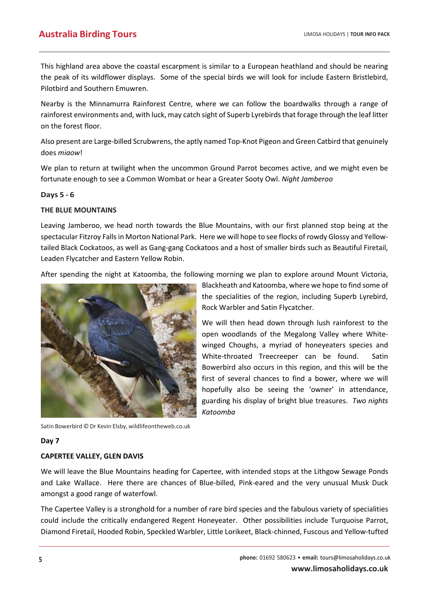This highland area above the coastal escarpment is similar to a European heathland and should be nearing the peak of its wildflower displays. Some of the special birds we will look for include Eastern Bristlebird, Pilotbird and Southern Emuwren.

Nearby is the Minnamurra Rainforest Centre, where we can follow the boardwalks through a range of rainforest environments and, with luck, may catch sight of Superb Lyrebirds that forage through the leaf litter on the forest floor.

Also present are Large-billed Scrubwrens, the aptly named Top-Knot Pigeon and Green Catbird that genuinely does *miaow*!

We plan to return at twilight when the uncommon Ground Parrot becomes active, and we might even be fortunate enough to see a Common Wombat or hear a Greater Sooty Owl. *Night Jamberoo*

#### **Days 5 - 6**

#### **THE BLUE MOUNTAINS**

Leaving Jamberoo, we head north towards the Blue Mountains, with our first planned stop being at the spectacular Fitzroy Falls in Morton National Park. Here we will hope to see flocks of rowdy Glossy and Yellowtailed Black Cockatoos, as well as Gang-gang Cockatoos and a host of smaller birds such as Beautiful Firetail, Leaden Flycatcher and Eastern Yellow Robin.

After spending the night at Katoomba, the following morning we plan to explore around Mount Victoria,



Satin Bowerbird © Dr Kevin Elsby, wildlifeontheweb.co.uk

#### **Day 7**

#### **CAPERTEE VALLEY, GLEN DAVIS**

We will leave the Blue Mountains heading for Capertee, with intended stops at the Lithgow Sewage Ponds and Lake Wallace. Here there are chances of Blue-billed, Pink-eared and the very unusual Musk Duck amongst a good range of waterfowl.

The Capertee Valley is a stronghold for a number of rare bird species and the fabulous variety of specialities could include the critically endangered Regent Honeyeater. Other possibilities include Turquoise Parrot, Diamond Firetail, Hooded Robin, Speckled Warbler, Little Lorikeet, Black-chinned, Fuscous and Yellow-tufted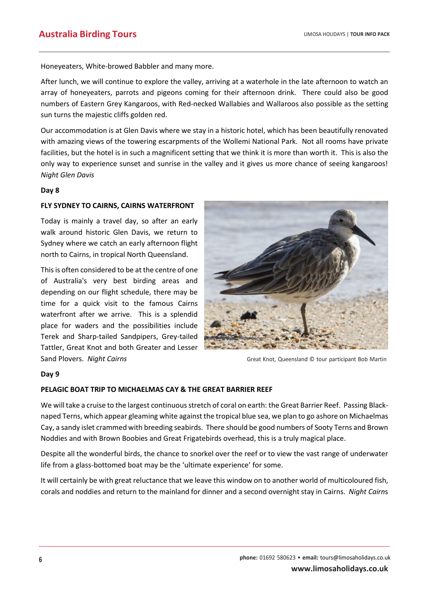Honeyeaters, White-browed Babbler and many more.

After lunch, we will continue to explore the valley, arriving at a waterhole in the late afternoon to watch an array of honeyeaters, parrots and pigeons coming for their afternoon drink. There could also be good numbers of Eastern Grey Kangaroos, with Red-necked Wallabies and Wallaroos also possible as the setting sun turns the majestic cliffs golden red.

Our accommodation is at Glen Davis where we stay in a historic hotel, which has been beautifully renovated with amazing views of the towering escarpments of the Wollemi National Park. Not all rooms have private facilities, but the hotel is in such a magnificent setting that we think it is more than worth it. This is also the only way to experience sunset and sunrise in the valley and it gives us more chance of seeing kangaroos! *Night Glen Davis*

#### **Day 8**

#### **FLY SYDNEY TO CAIRNS, CAIRNS WATERFRONT**

Today is mainly a travel day, so after an early walk around historic Glen Davis, we return to Sydney where we catch an early afternoon flight north to Cairns, in tropical North Queensland.

This is often considered to be at the centre of one of Australia's very best birding areas and depending on our flight schedule, there may be time for a quick visit to the famous Cairns waterfront after we arrive. This is a splendid place for waders and the possibilities include Terek and Sharp-tailed Sandpipers, Grey-tailed Tattler, Great Knot and both Greater and Lesser Sand Plovers. *Night Cairns* **Great Knot, Queensland © tour participant Bob Martin** 



#### **Day 9**

#### **PELAGIC BOAT TRIP TO MICHAELMAS CAY & THE GREAT BARRIER REEF**

We will take a cruise to the largest continuous stretch of coral on earth: the Great Barrier Reef. Passing Blacknaped Terns, which appear gleaming white against the tropical blue sea, we plan to go ashore on Michaelmas Cay, a sandy islet crammed with breeding seabirds. There should be good numbers of Sooty Terns and Brown Noddies and with Brown Boobies and Great Frigatebirds overhead, this is a truly magical place.

Despite all the wonderful birds, the chance to snorkel over the reef or to view the vast range of underwater life from a glass-bottomed boat may be the 'ultimate experience' for some.

It will certainly be with great reluctance that we leave this window on to another world of multicoloured fish, corals and noddies and return to the mainland for dinner and a second overnight stay in Cairns. *Night Cairn*s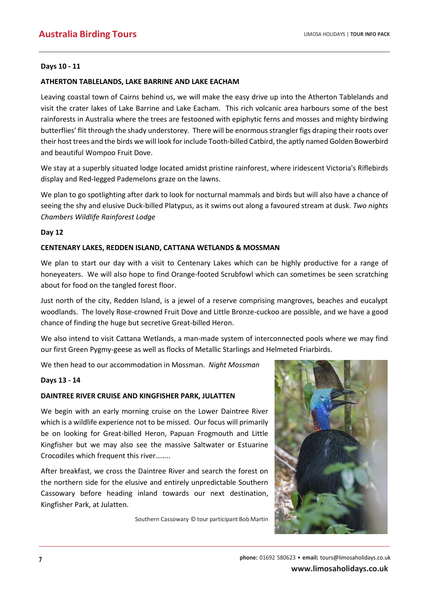#### **Days 10 - 11**

#### **ATHERTON TABLELANDS, LAKE BARRINE AND LAKE EACHAM**

Leaving coastal town of Cairns behind us, we will make the easy drive up into the Atherton Tablelands and visit the crater lakes of Lake Barrine and Lake Eacham. This rich volcanic area harbours some of the best rainforests in Australia where the trees are festooned with epiphytic ferns and mosses and mighty birdwing butterflies' flit through the shady understorey. There will be enormous strangler figs draping their roots over their host trees and the birds we will look for include Tooth-billed Catbird, the aptly named Golden Bowerbird and beautiful Wompoo Fruit Dove.

We stay at a superbly situated lodge located amidst pristine rainforest, where iridescent Victoria's Riflebirds display and Red-legged Pademelons graze on the lawns.

We plan to go spotlighting after dark to look for nocturnal mammals and birds but will also have a chance of seeing the shy and elusive Duck-billed Platypus, as it swims out along a favoured stream at dusk. *Two nights Chambers Wildlife Rainforest Lodge*

#### **Day 12**

#### **CENTENARY LAKES, REDDEN ISLAND, CATTANA WETLANDS & MOSSMAN**

We plan to start our day with a visit to Centenary Lakes which can be highly productive for a range of honeyeaters. We will also hope to find Orange-footed Scrubfowl which can sometimes be seen scratching about for food on the tangled forest floor.

Just north of the city, Redden Island, is a jewel of a reserve comprising mangroves, beaches and eucalypt woodlands. The lovely Rose-crowned Fruit Dove and Little Bronze-cuckoo are possible, and we have a good chance of finding the huge but secretive Great-billed Heron.

We also intend to visit Cattana Wetlands, a man-made system of interconnected pools where we may find our first Green Pygmy-geese as well as flocks of Metallic Starlings and Helmeted Friarbirds.

We then head to our accommodation in Mossman. *Night Mossman*

#### **Days 13 - 14**

#### **DAINTREE RIVER CRUISE AND KINGFISHER PARK, JULATTEN**

We begin with an early morning cruise on the Lower Daintree River which is a wildlife experience not to be missed. Our focus will primarily be on looking for Great-billed Heron, Papuan Frogmouth and Little Kingfisher but we may also see the massive Saltwater or Estuarine Crocodiles which frequent this river……..

After breakfast, we cross the Daintree River and search the forest on the northern side for the elusive and entirely unpredictable Southern Cassowary before heading inland towards our next destination, Kingfisher Park, at Julatten.

Southern Cassowary © tour participant Bob Martin

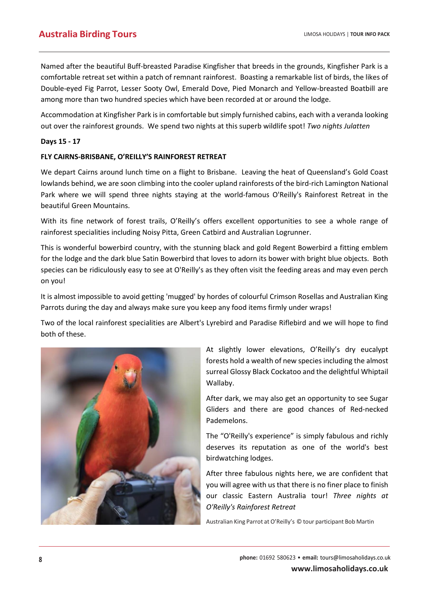Named after the beautiful Buff-breasted Paradise Kingfisher that breeds in the grounds, Kingfisher Park is a comfortable retreat set within a patch of remnant rainforest. Boasting a remarkable list of birds, the likes of Double-eyed Fig Parrot, Lesser Sooty Owl, Emerald Dove, Pied Monarch and Yellow-breasted Boatbill are among more than two hundred species which have been recorded at or around the lodge.

Accommodation at Kingfisher Park is in comfortable but simply furnished cabins, each with a veranda looking out over the rainforest grounds. We spend two nights at this superb wildlife spot! *Two nights Julatten*

#### **Days 15 - 17**

#### **FLY CAIRNS-BRISBANE, O'REILLY'S RAINFOREST RETREAT**

We depart Cairns around lunch time on a flight to Brisbane. Leaving the heat of Queensland's Gold Coast lowlands behind, we are soon climbing into the cooler upland rainforests of the bird-rich Lamington National Park where we will spend three nights staying at the world-famous O'Reilly's Rainforest Retreat in the beautiful Green Mountains.

With its fine network of forest trails, O'Reilly's offers excellent opportunities to see a whole range of rainforest specialities including Noisy Pitta, Green Catbird and Australian Logrunner.

This is wonderful bowerbird country, with the stunning black and gold Regent Bowerbird a fitting emblem for the lodge and the dark blue Satin Bowerbird that loves to adorn its bower with bright blue objects. Both species can be ridiculously easy to see at O'Reilly's as they often visit the feeding areas and may even perch on you!

It is almost impossible to avoid getting 'mugged' by hordes of colourful Crimson Rosellas and Australian King Parrots during the day and always make sure you keep any food items firmly under wraps!

Two of the local rainforest specialities are Albert's Lyrebird and Paradise Riflebird and we will hope to find both of these.



At slightly lower elevations, O'Reilly's dry eucalypt forests hold a wealth of new species including the almost surreal Glossy Black Cockatoo and the delightful Whiptail Wallaby.

After dark, we may also get an opportunity to see Sugar Gliders and there are good chances of Red-necked Pademelons.

The "O'Reilly's experience" is simply fabulous and richly deserves its reputation as one of the world's best birdwatching lodges.

After three fabulous nights here, we are confident that you will agree with us that there is no finer place to finish our classic Eastern Australia tour! *Three nights at O'Reilly's Rainforest Retreat*

Australian King Parrot at O'Reilly's © tour participant Bob Martin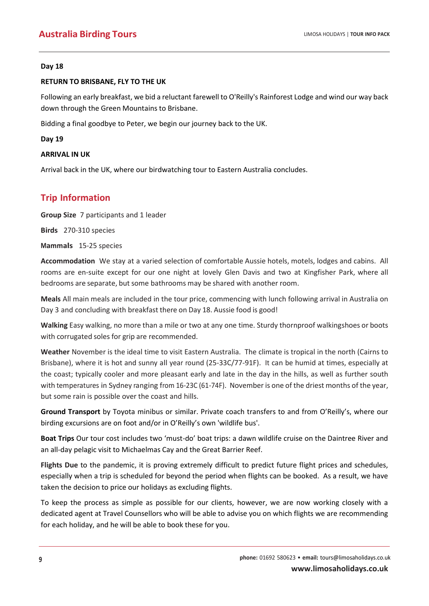#### **Day 18**

#### **RETURN TO BRISBANE, FLY TO THE UK**

Following an early breakfast, we bid a reluctant farewell to O'Reilly's Rainforest Lodge and wind our way back down through the Green Mountains to Brisbane.

Bidding a final goodbye to Peter, we begin our journey back to the UK.

**Day 19**

#### **ARRIVAL IN UK**

Arrival back in the UK, where our birdwatching tour to Eastern Australia concludes.

## **Trip Information**

**Group Size** 7 participants and 1 leader

**Birds** 270-310 species

**Mammals** 15-25 species

**Accommodation** We stay at a varied selection of comfortable Aussie hotels, motels, lodges and cabins. All rooms are en-suite except for our one night at lovely Glen Davis and two at Kingfisher Park, where all bedrooms are separate, but some bathrooms may be shared with another room.

**Meals** All main meals are included in the tour price, commencing with lunch following arrival in Australia on Day 3 and concluding with breakfast there on Day 18. Aussie food is good!

**Walking** Easy walking, no more than a mile or two at any one time. Sturdy thornproof walkingshoes or boots with corrugated soles for grip are recommended.

**Weather** November is the ideal time to visit Eastern Australia. The climate is tropical in the north (Cairns to Brisbane), where it is hot and sunny all year round (25-33C/77-91F). It can be humid at times, especially at the coast; typically cooler and more pleasant early and late in the day in the hills, as well as further south with temperatures in Sydney ranging from 16-23C (61-74F). November is one of the driest months of the year, but some rain is possible over the coast and hills.

**Ground Transport** by Toyota minibus or similar. Private coach transfers to and from O'Reilly's, where our birding excursions are on foot and/or in O'Reilly's own 'wildlife bus'.

**Boat Trips** Our tour cost includes two 'must-do' boat trips: a dawn wildlife cruise on the Daintree River and an all-day pelagic visit to Michaelmas Cay and the Great Barrier Reef.

**Flights Due** to the pandemic, it is proving extremely difficult to predict future flight prices and schedules, especially when a trip is scheduled for beyond the period when flights can be booked. As a result, we have taken the decision to price our holidays as excluding flights.

To keep the process as simple as possible for our clients, however, we are now working closely with a dedicated agent at Travel Counsellors who will be able to advise you on which flights we are recommending for each holiday, and he will be able to book these for you.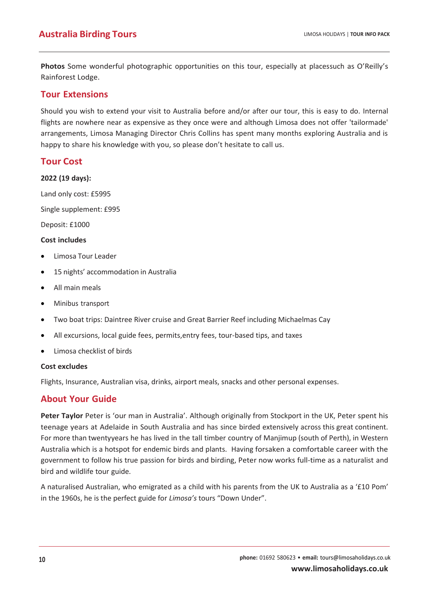**Photos** Some wonderful photographic opportunities on this tour, especially at placessuch as O'Reilly's Rainforest Lodge.

## **Tour Extensions**

Should you wish to extend your visit to Australia before and/or after our tour, this is easy to do. Internal flights are nowhere near as expensive as they once were and although Limosa does not offer 'tailormade' arrangements, Limosa Managing Director Chris Collins has spent many months exploring Australia and is happy to share his knowledge with you, so please don't hesitate to call us.

## **Tour Cost**

#### **2022 (19 days):**

Land only cost: £5995

Single supplement: £995

Deposit: £1000

#### **Cost includes**

- Limosa Tour Leader
- 15 nights' accommodation in Australia
- All main meals
- Minibus transport
- Two boat trips: Daintree River cruise and Great Barrier Reef including Michaelmas Cay
- All excursions, local guide fees, permits,entry fees, tour-based tips, and taxes
- Limosa checklist of birds

#### **Cost excludes**

Flights, Insurance, Australian visa, drinks, airport meals, snacks and other personal expenses.

## **About Your Guide**

**Peter Taylor** Peter is 'our man in Australia'. Although originally from Stockport in the UK, Peter spent his teenage years at Adelaide in South Australia and has since birded extensively across this great continent. For more than twentyyears he has lived in the tall timber country of Manjimup (south of Perth), in Western Australia which is a hotspot for endemic birds and plants. Having forsaken a comfortable career with the government to follow his true passion for birds and birding, Peter now works full-time as a naturalist and bird and wildlife tour guide.

A naturalised Australian, who emigrated as a child with his parents from the UK to Australia as a '£10 Pom' in the 1960s, he is the perfect guide for *Limosa's* tours "Down Under".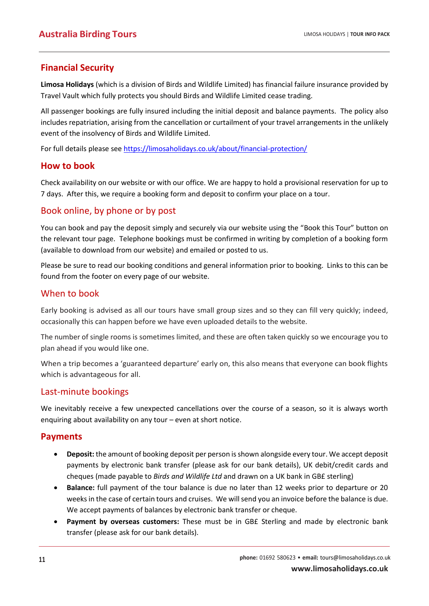## **Financial Security**

**Limosa Holidays** (which is a division of Birds and Wildlife Limited) has financial failure insurance provided by Travel Vault which fully protects you should Birds and Wildlife Limited cease trading.

All passenger bookings are fully insured including the initial deposit and balance payments. The policy also includes repatriation, arising from the cancellation or curtailment of your travel arrangements in the unlikely event of the insolvency of Birds and Wildlife Limited.

For full details please see <https://limosaholidays.co.uk/about/financial-protection/>

## **How to book**

Check availability on our website or with our office. We are happy to hold a provisional reservation for up to 7 days. After this, we require a booking form and deposit to confirm your place on a tour.

## Book online, by phone or by post

You can book and pay the deposit simply and securely via our website using the "Book this Tour" button on the relevant tour page. Telephone bookings must be confirmed in writing by completion of a booking form (available to download from our website) and emailed or posted to us.

Please be sure to read our booking conditions and general information prior to booking. Links to this can be found from the footer on every page of our website.

## When to book

Early booking is advised as all our tours have small group sizes and so they can fill very quickly; indeed, occasionally this can happen before we have even uploaded details to the website.

The number of single rooms is sometimes limited, and these are often taken quickly so we encourage you to plan ahead if you would like one.

When a trip becomes a 'guaranteed departure' early on, this also means that everyone can book flights which is advantageous for all.

## Last-minute bookings

We inevitably receive a few unexpected cancellations over the course of a season, so it is always worth enquiring about availability on any tour – even at short notice.

## **Payments**

- **Deposit:** the amount of booking deposit per person is shown alongside every tour. We accept deposit payments by electronic bank transfer (please ask for our bank details), UK debit/credit cards and cheques (made payable to *Birds and Wildlife Ltd* and drawn on a UK bank in GB£ sterling)
- **Balance:** full payment of the tour balance is due no later than 12 weeks prior to departure or 20 weeks in the case of certain tours and cruises. We will send you an invoice before the balance is due. We accept payments of balances by electronic bank transfer or cheque.
- **Payment by overseas customers:** These must be in GB£ Sterling and made by electronic bank transfer (please ask for our bank details).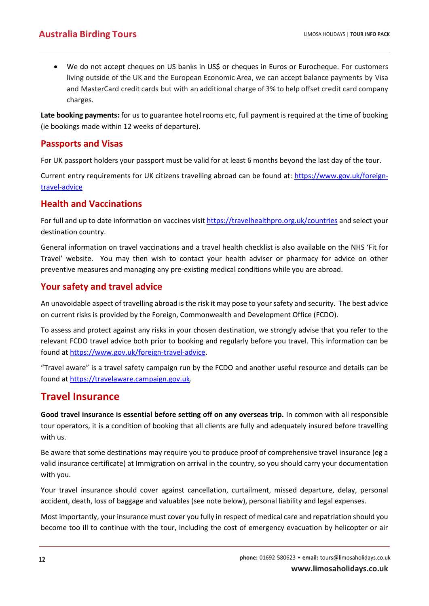• We do not accept cheques on US banks in US\$ or cheques in Euros or Eurocheque. For customers living outside of the UK and the European Economic Area, we can accept balance payments by Visa and MasterCard credit cards but with an additional charge of 3% to help offset credit card company charges.

**Late booking payments:** for us to guarantee hotel rooms etc, full payment is required at the time of booking (ie bookings made within 12 weeks of departure).

## **Passports and Visas**

For UK passport holders your passport must be valid for at least 6 months beyond the last day of the tour.

Current entry requirements for UK citizens travelling abroad can be found at: [https://www.gov.uk/foreign](https://www.gov.uk/foreign-travel-advice)[travel-advice](https://www.gov.uk/foreign-travel-advice)

## **Health and Vaccinations**

For full and up to date information on vaccines visit<https://travelhealthpro.org.uk/countries> and select your destination country.

General information on travel vaccinations and a travel health checklist is also available on the NHS 'Fit for Travel' website. You may then wish to contact your health adviser or pharmacy for advice on other preventive measures and managing any pre-existing medical conditions while you are abroad.

## **Your safety and travel advice**

An unavoidable aspect of travelling abroad is the risk it may pose to your safety and security. The best advice on current risks is provided by the Foreign, Commonwealth and Development Office (FCDO).

To assess and protect against any risks in your chosen destination, we strongly advise that you refer to the relevant FCDO travel advice both prior to booking and regularly before you travel. This information can be found at [https://www.gov.uk/foreign-travel-advice.](https://www.gov.uk/foreign-travel-advice)

"Travel aware" is a travel safety campaign run by the FCDO and another useful resource and details can be found at [https://travelaware.campaign.gov.uk.](https://travelaware.campaign.gov.uk/)

## **Travel Insurance**

**Good travel insurance is essential before setting off on any overseas trip.** In common with all responsible tour operators, it is a condition of booking that all clients are fully and adequately insured before travelling with us.

Be aware that some destinations may require you to produce proof of comprehensive travel insurance (eg a valid insurance certificate) at Immigration on arrival in the country, so you should carry your documentation with you.

Your travel insurance should cover against cancellation, curtailment, missed departure, delay, personal accident, death, loss of baggage and valuables (see note below), personal liability and legal expenses.

Most importantly, your insurance must cover you fully in respect of medical care and repatriation should you become too ill to continue with the tour, including the cost of emergency evacuation by helicopter or air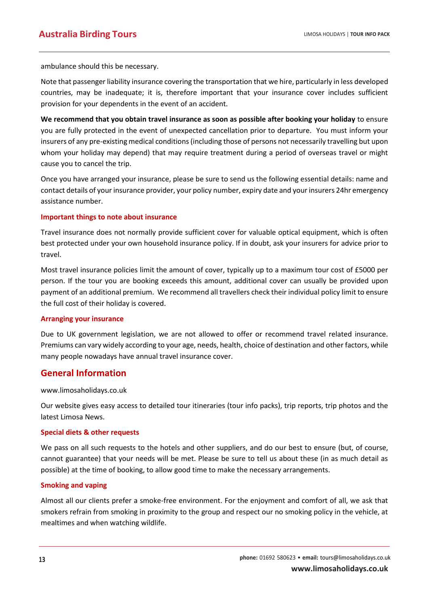ambulance should this be necessary.

Note that passenger liability insurance covering the transportation that we hire, particularly in less developed countries, may be inadequate; it is, therefore important that your insurance cover includes sufficient provision for your dependents in the event of an accident.

**We recommend that you obtain travel insurance as soon as possible after booking your holiday** to ensure you are fully protected in the event of unexpected cancellation prior to departure. You must inform your insurers of any pre-existing medical conditions (including those of persons not necessarily travelling but upon whom your holiday may depend) that may require treatment during a period of overseas travel or might cause you to cancel the trip.

Once you have arranged your insurance, please be sure to send us the following essential details: name and contact details of your insurance provider, your policy number, expiry date and your insurers 24hr emergency assistance number.

#### **Important things to note about insurance**

Travel insurance does not normally provide sufficient cover for valuable optical equipment, which is often best protected under your own household insurance policy. If in doubt, ask your insurers for advice prior to travel.

Most travel insurance policies limit the amount of cover, typically up to a maximum tour cost of £5000 per person. If the tour you are booking exceeds this amount, additional cover can usually be provided upon payment of an additional premium. We recommend all travellers check their individual policy limit to ensure the full cost of their holiday is covered.

#### **Arranging your insurance**

Due to UK government legislation, we are not allowed to offer or recommend travel related insurance. Premiums can vary widely according to your age, needs, health, choice of destination and other factors, while many people nowadays have annual travel insurance cover.

## **General Information**

www.limosaholidays.co.uk

Our website gives easy access to detailed tour itineraries (tour info packs), trip reports, trip photos and the latest Limosa News.

#### **Special diets & other requests**

We pass on all such requests to the hotels and other suppliers, and do our best to ensure (but, of course, cannot guarantee) that your needs will be met. Please be sure to tell us about these (in as much detail as possible) at the time of booking, to allow good time to make the necessary arrangements.

#### **Smoking and vaping**

Almost all our clients prefer a smoke-free environment. For the enjoyment and comfort of all, we ask that smokers refrain from smoking in proximity to the group and respect our no smoking policy in the vehicle, at mealtimes and when watching wildlife.